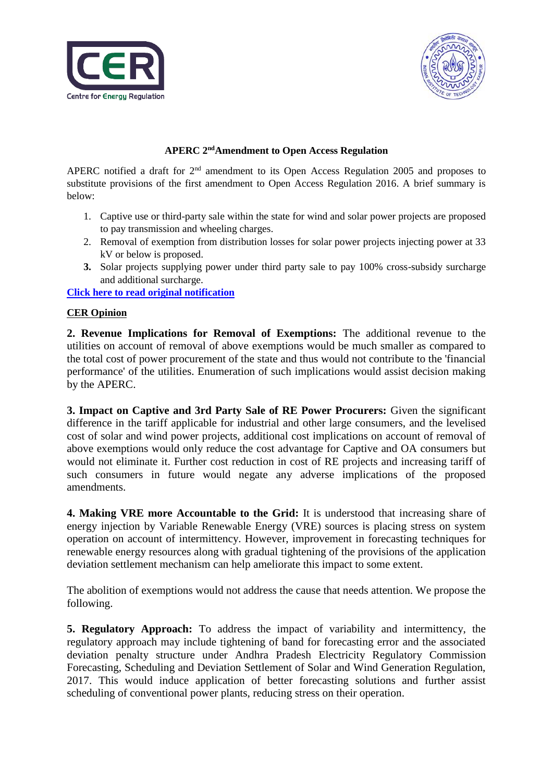



## **APERC 2ndAmendment to Open Access Regulation**

APERC notified a draft for 2<sup>nd</sup> amendment to its Open Access Regulation 2005 and proposes to substitute provisions of the first amendment to Open Access Regulation 2016. A brief summary is below:

- 1. Captive use or third-party sale within the state for wind and solar power projects are proposed to pay transmission and wheeling charges.
- 2. Removal of exemption from distribution losses for solar power projects injecting power at 33 kV or below is proposed.
- **3.** Solar projects supplying power under third party sale to pay 100% cross-subsidy surcharge and additional surcharge.

**[Click here to read original notification](http://aperc.gov.in/admin/upload/Draftamendtt2of2005.pdf)**

## **CER Opinion**

**2. Revenue Implications for Removal of Exemptions:** The additional revenue to the utilities on account of removal of above exemptions would be much smaller as compared to the total cost of power procurement of the state and thus would not contribute to the 'financial performance' of the utilities. Enumeration of such implications would assist decision making by the APERC.

**3. Impact on Captive and 3rd Party Sale of RE Power Procurers:** Given the significant difference in the tariff applicable for industrial and other large consumers, and the levelised cost of solar and wind power projects, additional cost implications on account of removal of above exemptions would only reduce the cost advantage for Captive and OA consumers but would not eliminate it. Further cost reduction in cost of RE projects and increasing tariff of such consumers in future would negate any adverse implications of the proposed amendments.

**4. Making VRE more Accountable to the Grid:** It is understood that increasing share of energy injection by Variable Renewable Energy (VRE) sources is placing stress on system operation on account of intermittency. However, improvement in forecasting techniques for renewable energy resources along with gradual tightening of the provisions of the application deviation settlement mechanism can help ameliorate this impact to some extent.

The abolition of exemptions would not address the cause that needs attention. We propose the following.

**5. Regulatory Approach:** To address the impact of variability and intermittency, the regulatory approach may include tightening of band for forecasting error and the associated deviation penalty structure under Andhra Pradesh Electricity Regulatory Commission Forecasting, Scheduling and Deviation Settlement of Solar and Wind Generation Regulation, 2017. This would induce application of better forecasting solutions and further assist scheduling of conventional power plants, reducing stress on their operation.